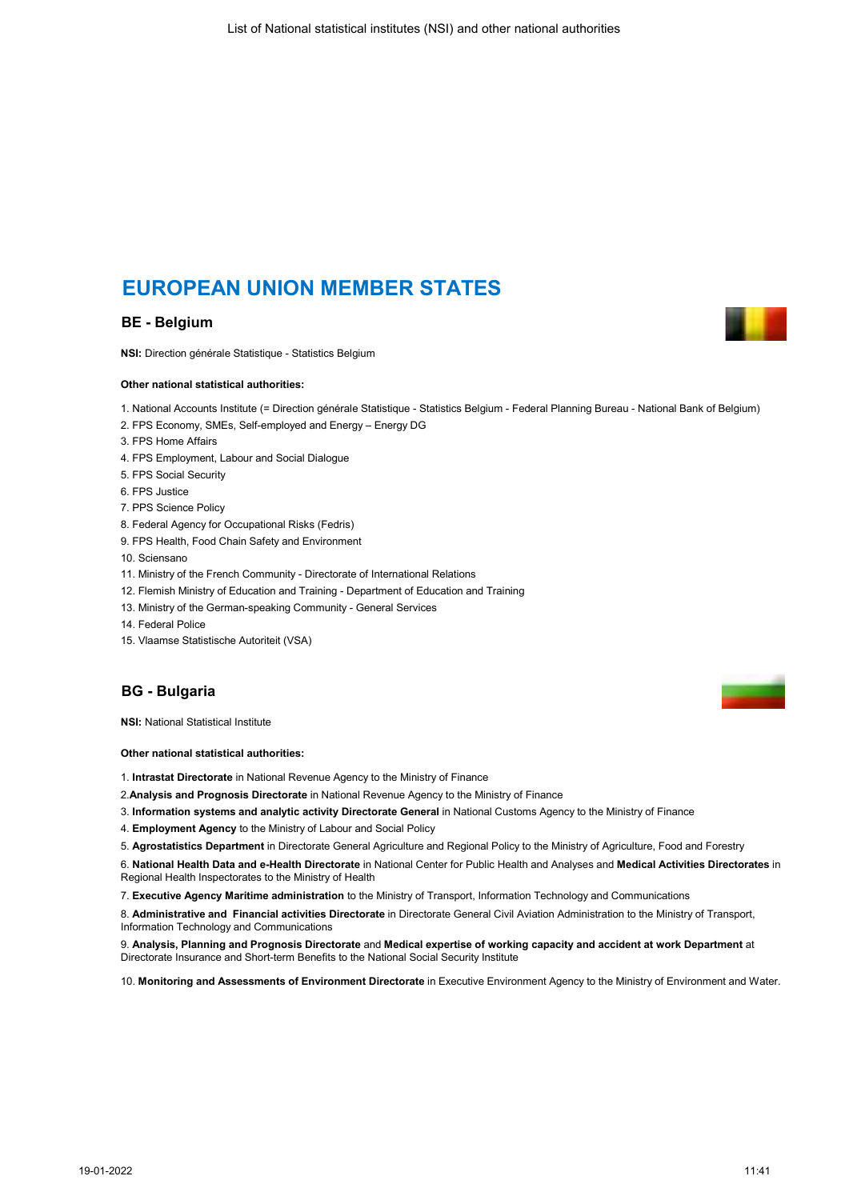# EUROPEAN UNION MEMBER STATES

## BE - Belgium

NSI: Direction générale Statistique - Statistics Belgium

#### Other national statistical authorities:

- 1. National Accounts Institute (= Direction générale Statistique Statistics Belgium Federal Planning Bureau National Bank of Belgium)
- 2. FPS Economy, SMEs, Self-employed and Energy Energy DG
- 3. FPS Home Affairs
- 4. FPS Employment, Labour and Social Dialogue
- 5. FPS Social Security
- 6. FPS Justice
- 7. PPS Science Policy
- 8. Federal Agency for Occupational Risks (Fedris)
- 9. FPS Health, Food Chain Safety and Environment
- 10. Sciensano
- 11. Ministry of the French Community Directorate of International Relations
- 12. Flemish Ministry of Education and Training Department of Education and Training
- 13. Ministry of the German-speaking Community General Services
- 14. Federal Police
- 15. Vlaamse Statistische Autoriteit (VSA)

## BG - Bulgaria

NSI: National Statistical Institute

Other national statistical authorities:

- 1. Intrastat Directorate in National Revenue Agency to the Ministry of Finance
- 2.Analysis and Prognosis Directorate in National Revenue Agency to the Ministry of Finance
- 3. Information systems and analytic activity Directorate General in National Customs Agency to the Ministry of Finance
- 4. Employment Agency to the Ministry of Labour and Social Policy

5. Agrostatistics Department in Directorate General Agriculture and Regional Policy to the Ministry of Agriculture, Food and Forestry

6. National Health Data and e-Health Directorate in National Center for Public Health and Analyses and Medical Activities Directorates in Regional Health Inspectorates to the Ministry of Health

7. Executive Agency Maritime administration to the Ministry of Transport, Information Technology and Communications

8. Administrative and Financial activities Directorate in Directorate General Civil Aviation Administration to the Ministry of Transport, Information Technology and Communications

9. Analysis, Planning and Prognosis Directorate and Medical expertise of working capacity and accident at work Department at Directorate Insurance and Short-term Benefits to the National Social Security Institute

10. Monitoring and Assessments of Environment Directorate in Executive Environment Agency to the Ministry of Environment and Water.



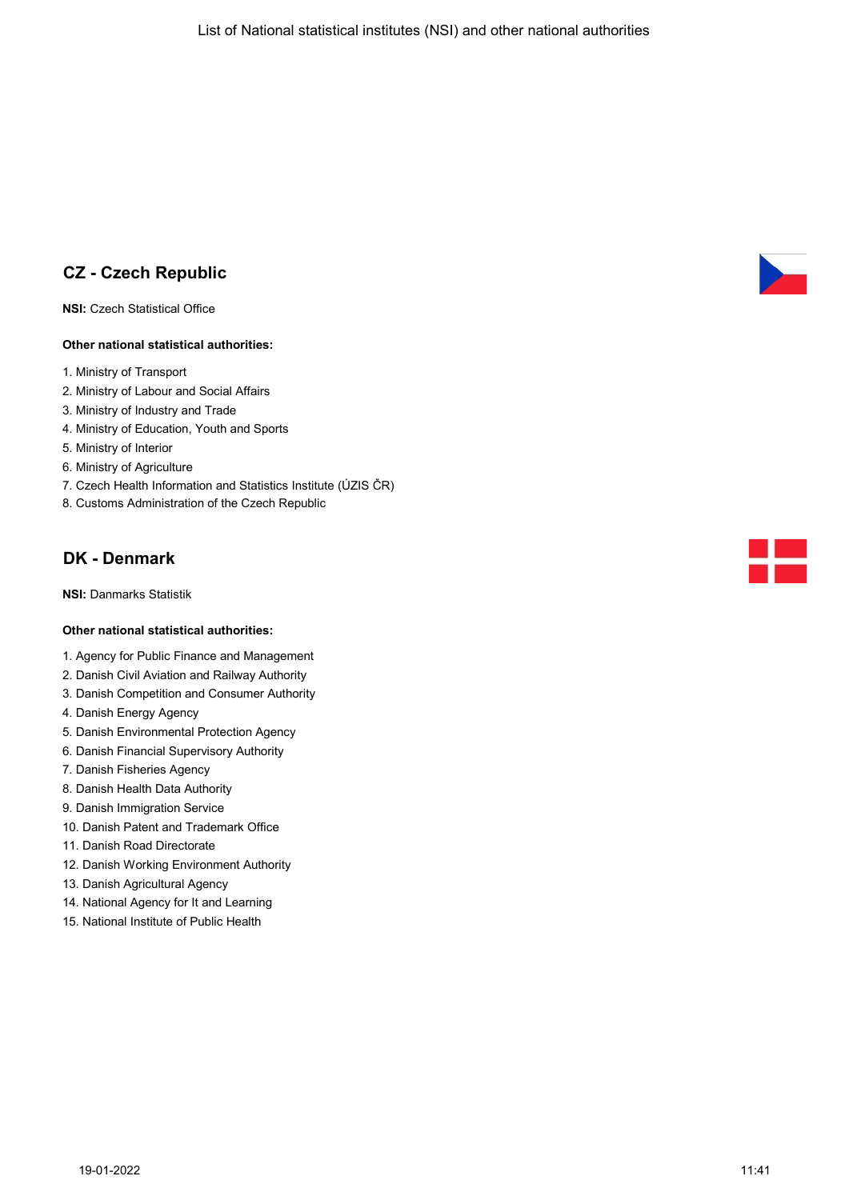# CZ - Czech Republic

NSI: Czech Statistical Office

#### Other national statistical authorities:

- 1. Ministry of Transport
- 2. Ministry of Labour and Social Affairs
- 3. Ministry of Industry and Trade
- 4. Ministry of Education, Youth and Sports
- 5. Ministry of Interior
- 6. Ministry of Agriculture
- 7. Czech Health Information and Statistics Institute (ÚZIS ČR)
- 8. Customs Administration of the Czech Republic

# DK - Denmark

NSI: Danmarks Statistik

- 1. Agency for Public Finance and Management
- 2. Danish Civil Aviation and Railway Authority
- 3. Danish Competition and Consumer Authority
- 4. Danish Energy Agency
- 5. Danish Environmental Protection Agency
- 6. Danish Financial Supervisory Authority
- 7. Danish Fisheries Agency
- 8. Danish Health Data Authority
- 9. Danish Immigration Service
- 10. Danish Patent and Trademark Office
- 11. Danish Road Directorate
- 12. Danish Working Environment Authority
- 13. Danish Agricultural Agency
- 14. National Agency for It and Learning
- 15. National Institute of Public Health

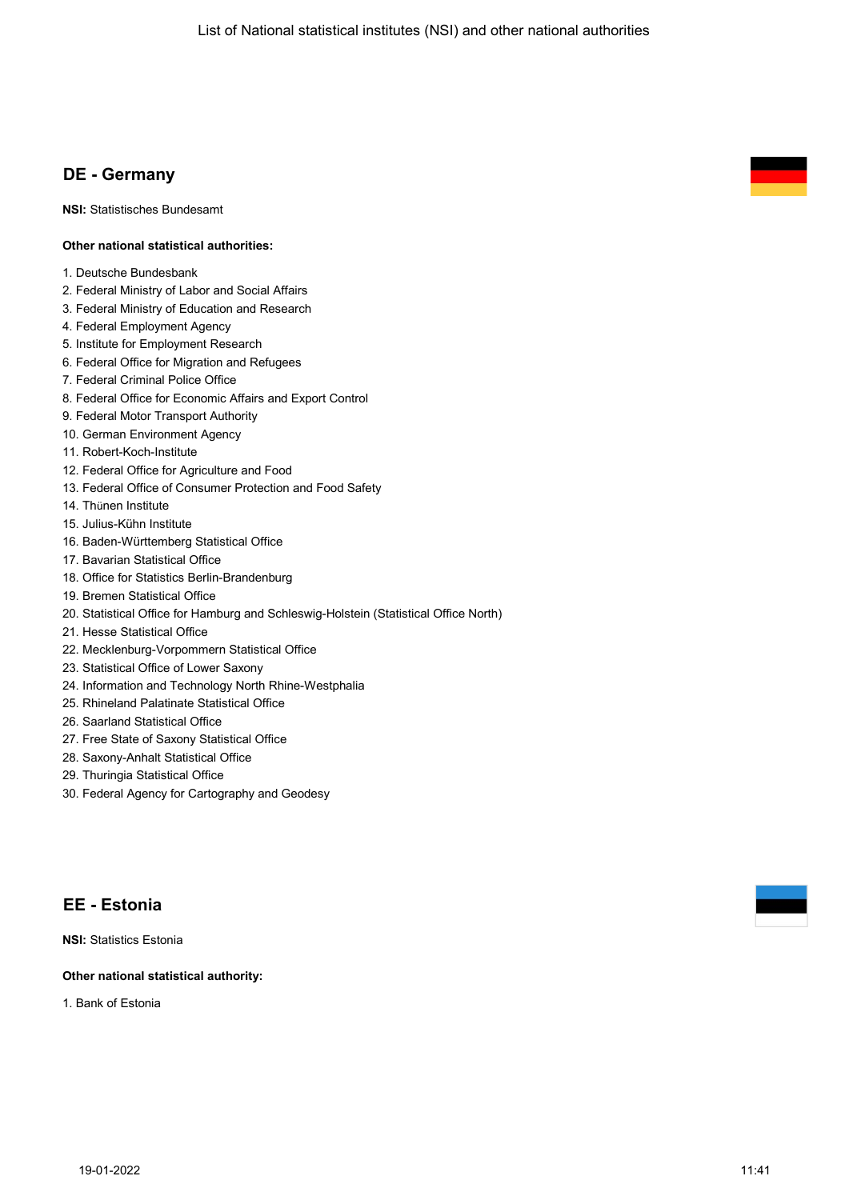# DE - Germany

NSI: Statistisches Bundesamt

#### Other national statistical authorities:

- 1. Deutsche Bundesbank
- 2. Federal Ministry of Labor and Social Affairs
- 3. Federal Ministry of Education and Research
- 4. Federal Employment Agency
- 5. Institute for Employment Research
- 6. Federal Office for Migration and Refugees
- 7. Federal Criminal Police Office
- 8. Federal Office for Economic Affairs and Export Control
- 9. Federal Motor Transport Authority
- 10. German Environment Agency
- 11. Robert-Koch-Institute
- 12. Federal Office for Agriculture and Food
- 13. Federal Office of Consumer Protection and Food Safety
- 14. Thünen Institute
- 15. Julius-Kühn Institute
- 16. Baden-Württemberg Statistical Office
- 17. Bavarian Statistical Office
- 18. Office for Statistics Berlin-Brandenburg
- 19. Bremen Statistical Office
- 20. Statistical Office for Hamburg and Schleswig-Holstein (Statistical Office North)
- 21. Hesse Statistical Office
- 22. Mecklenburg-Vorpommern Statistical Office
- 23. Statistical Office of Lower Saxony
- 24. Information and Technology North Rhine-Westphalia
- 25. Rhineland Palatinate Statistical Office
- 26. Saarland Statistical Office
- 27. Free State of Saxony Statistical Office
- 28. Saxony-Anhalt Statistical Office
- 29. Thuringia Statistical Office
- 30. Federal Agency for Cartography and Geodesy

## EE - Estonia

NSI: Statistics Estonia

#### Other national statistical authority:

1. Bank of Estonia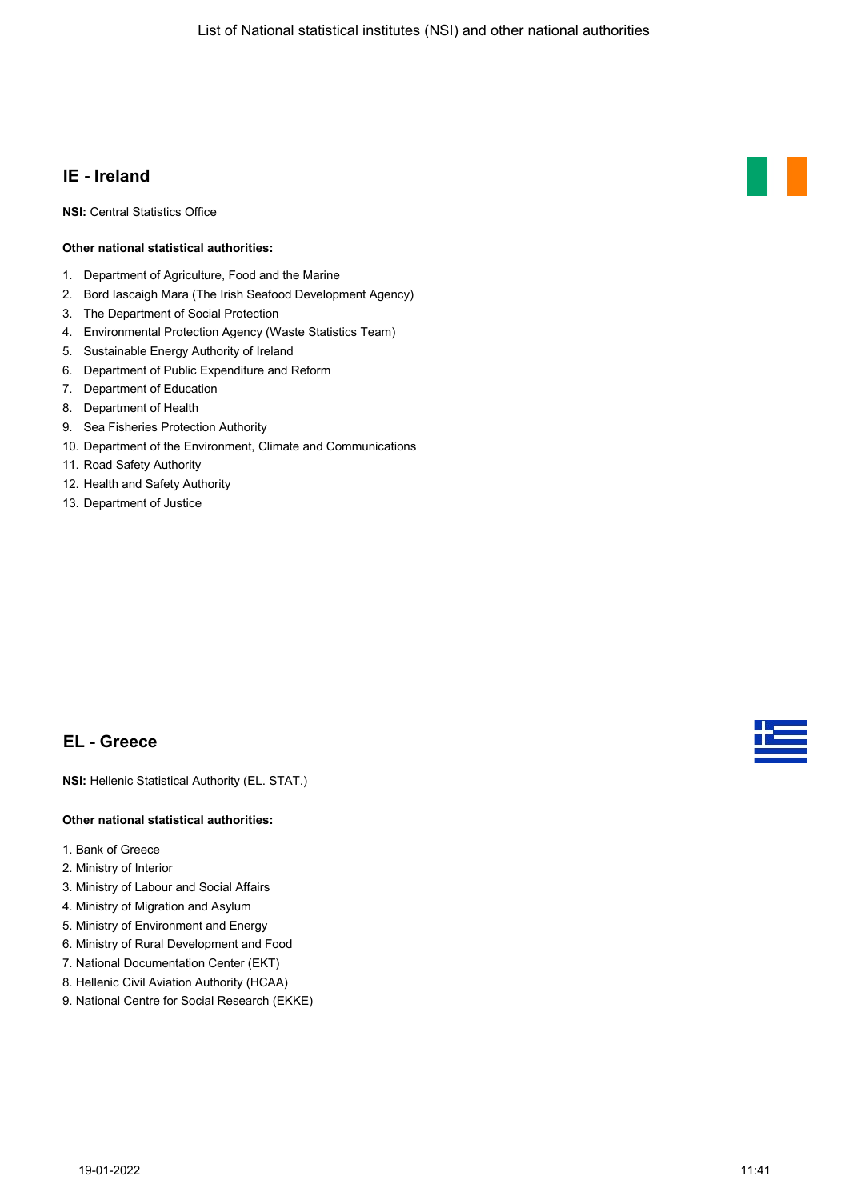## IE - Ireland

NSI: Central Statistics Office

#### Other national statistical authorities:

- 1. Department of Agriculture, Food and the Marine
- 2. Bord Iascaigh Mara (The Irish Seafood Development Agency)
- 3. The Department of Social Protection
- 4. Environmental Protection Agency (Waste Statistics Team)
- 5. Sustainable Energy Authority of Ireland
- 6. Department of Public Expenditure and Reform
- 7. Department of Education
- 8. Department of Health
- 9. Sea Fisheries Protection Authority
- 10. Department of the Environment, Climate and Communications
- 11. Road Safety Authority
- 12. Health and Safety Authority
- 13. Department of Justice

# EL - Greece

NSI: Hellenic Statistical Authority (EL. STAT.)

- 1. Bank of Greece
- 2. Ministry of Interior
- 3. Ministry of Labour and Social Affairs
- 4. Ministry of Migration and Asylum
- 5. Ministry of Environment and Energy
- 6. Ministry of Rural Development and Food
- 7. National Documentation Center (EKT)
- 8. Hellenic Civil Aviation Authority (HCAA)
- 9. National Centre for Social Research (EKKE)

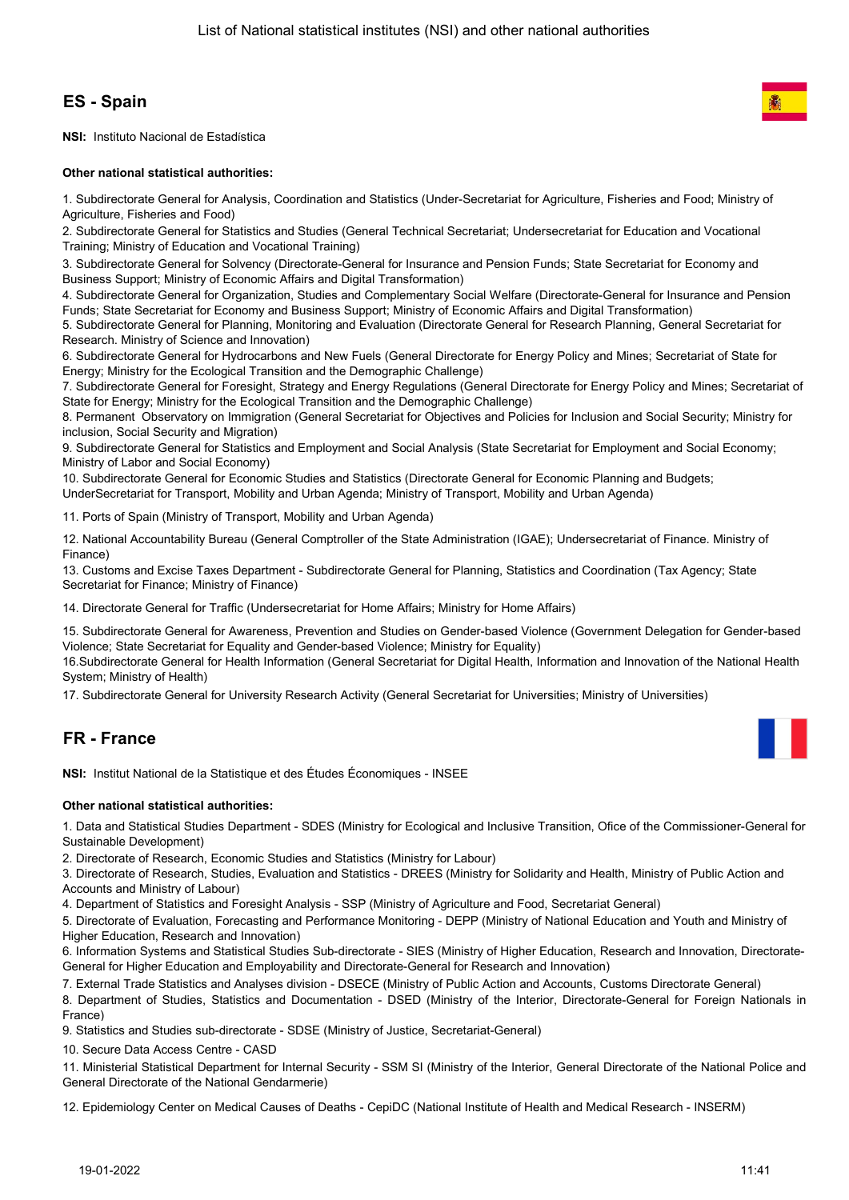# ES - Spain

NSI: Instituto Nacional de Estadística

#### Other national statistical authorities:

1. Subdirectorate General for Analysis, Coordination and Statistics (Under-Secretariat for Agriculture, Fisheries and Food; Ministry of Agriculture, Fisheries and Food)

2. Subdirectorate General for Statistics and Studies (General Technical Secretariat; Undersecretariat for Education and Vocational Training; Ministry of Education and Vocational Training)

3. Subdirectorate General for Solvency (Directorate-General for Insurance and Pension Funds; State Secretariat for Economy and Business Support; Ministry of Economic Affairs and Digital Transformation)

4. Subdirectorate General for Organization, Studies and Complementary Social Welfare (Directorate-General for Insurance and Pension Funds; State Secretariat for Economy and Business Support; Ministry of Economic Affairs and Digital Transformation)

5. Subdirectorate General for Planning, Monitoring and Evaluation (Directorate General for Research Planning, General Secretariat for Research. Ministry of Science and Innovation)

6. Subdirectorate General for Hydrocarbons and New Fuels (General Directorate for Energy Policy and Mines; Secretariat of State for Energy; Ministry for the Ecological Transition and the Demographic Challenge)

7. Subdirectorate General for Foresight, Strategy and Energy Regulations (General Directorate for Energy Policy and Mines; Secretariat of State for Energy; Ministry for the Ecological Transition and the Demographic Challenge)

8. Permanent Observatory on Immigration (General Secretariat for Objectives and Policies for Inclusion and Social Security; Ministry for inclusion, Social Security and Migration)

9. Subdirectorate General for Statistics and Employment and Social Analysis (State Secretariat for Employment and Social Economy; Ministry of Labor and Social Economy)

10. Subdirectorate General for Economic Studies and Statistics (Directorate General for Economic Planning and Budgets; UnderSecretariat for Transport, Mobility and Urban Agenda; Ministry of Transport, Mobility and Urban Agenda)

11. Ports of Spain (Ministry of Transport, Mobility and Urban Agenda)

12. National Accountability Bureau (General Comptroller of the State Administration (IGAE); Undersecretariat of Finance. Ministry of Finance)

13. Customs and Excise Taxes Department - Subdirectorate General for Planning, Statistics and Coordination (Tax Agency; State Secretariat for Finance; Ministry of Finance)

14. Directorate General for Traffic (Undersecretariat for Home Affairs; Ministry for Home Affairs)

15. Subdirectorate General for Awareness, Prevention and Studies on Gender-based Violence (Government Delegation for Gender-based Violence; State Secretariat for Equality and Gender-based Violence; Ministry for Equality)

16.Subdirectorate General for Health Information (General Secretariat for Digital Health, Information and Innovation of the National Health System; Ministry of Health)

17. Subdirectorate General for University Research Activity (General Secretariat for Universities; Ministry of Universities)

## FR - France

NSI: Institut National de la Statistique et des Études Économiques - INSEE

#### Other national statistical authorities:

1. Data and Statistical Studies Department - SDES (Ministry for Ecological and Inclusive Transition, Ofice of the Commissioner-General for Sustainable Development)

2. Directorate of Research, Economic Studies and Statistics (Ministry for Labour)

3. Directorate of Research, Studies, Evaluation and Statistics - DREES (Ministry for Solidarity and Health, Ministry of Public Action and Accounts and Ministry of Labour)

4. Department of Statistics and Foresight Analysis - SSP (Ministry of Agriculture and Food, Secretariat General)

5. Directorate of Evaluation, Forecasting and Performance Monitoring - DEPP (Ministry of National Education and Youth and Ministry of Higher Education, Research and Innovation)

6. Information Systems and Statistical Studies Sub-directorate - SIES (Ministry of Higher Education, Research and Innovation, Directorate-General for Higher Education and Employability and Directorate-General for Research and Innovation)

7. External Trade Statistics and Analyses division - DSECE (Ministry of Public Action and Accounts, Customs Directorate General)

8. Department of Studies, Statistics and Documentation - DSED (Ministry of the Interior, Directorate-General for Foreign Nationals in France)

9. Statistics and Studies sub-directorate - SDSE (Ministry of Justice, Secretariat-General)

10. Secure Data Access Centre - CASD

11. Ministerial Statistical Department for Internal Security - SSM SI (Ministry of the Interior, General Directorate of the National Police and General Directorate of the National Gendarmerie)

12. Epidemiology Center on Medical Causes of Deaths - CepiDC (National Institute of Health and Medical Research - INSERM)

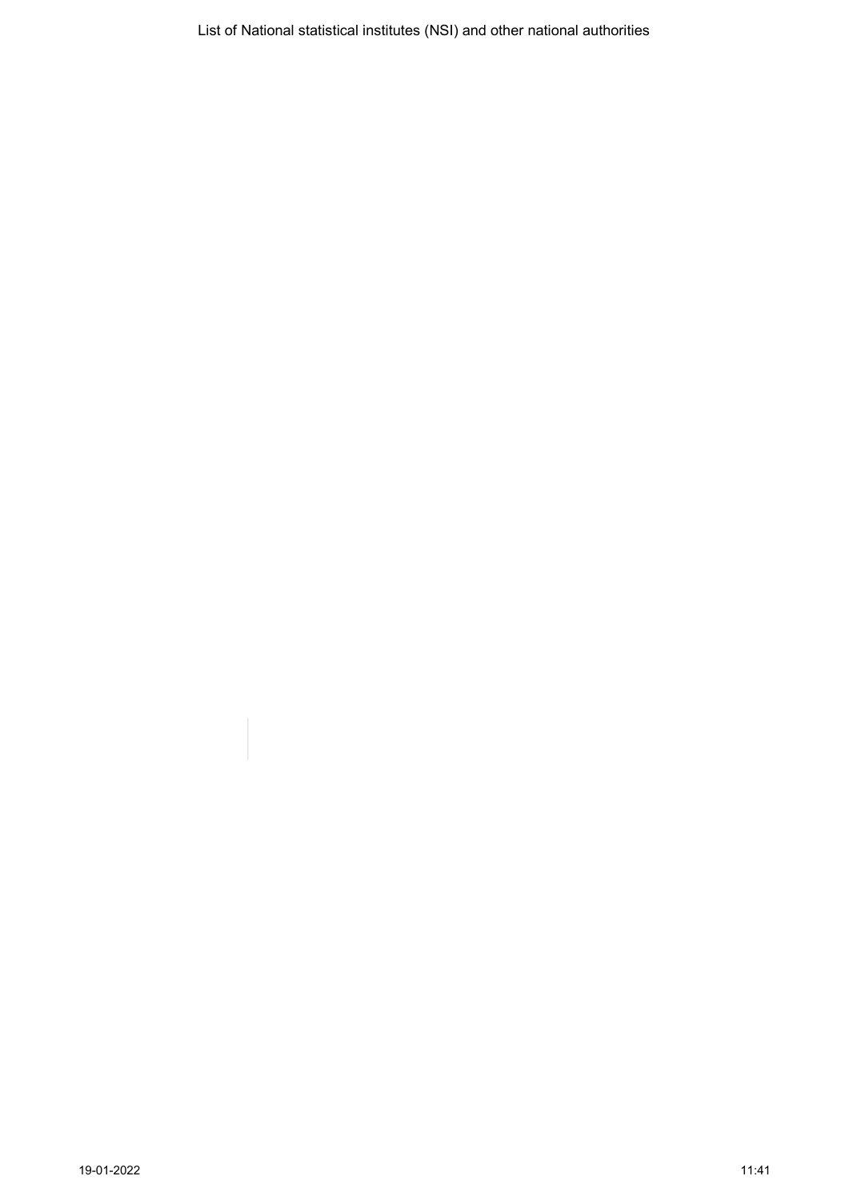List of National statistical institutes (NSI) and other national authorities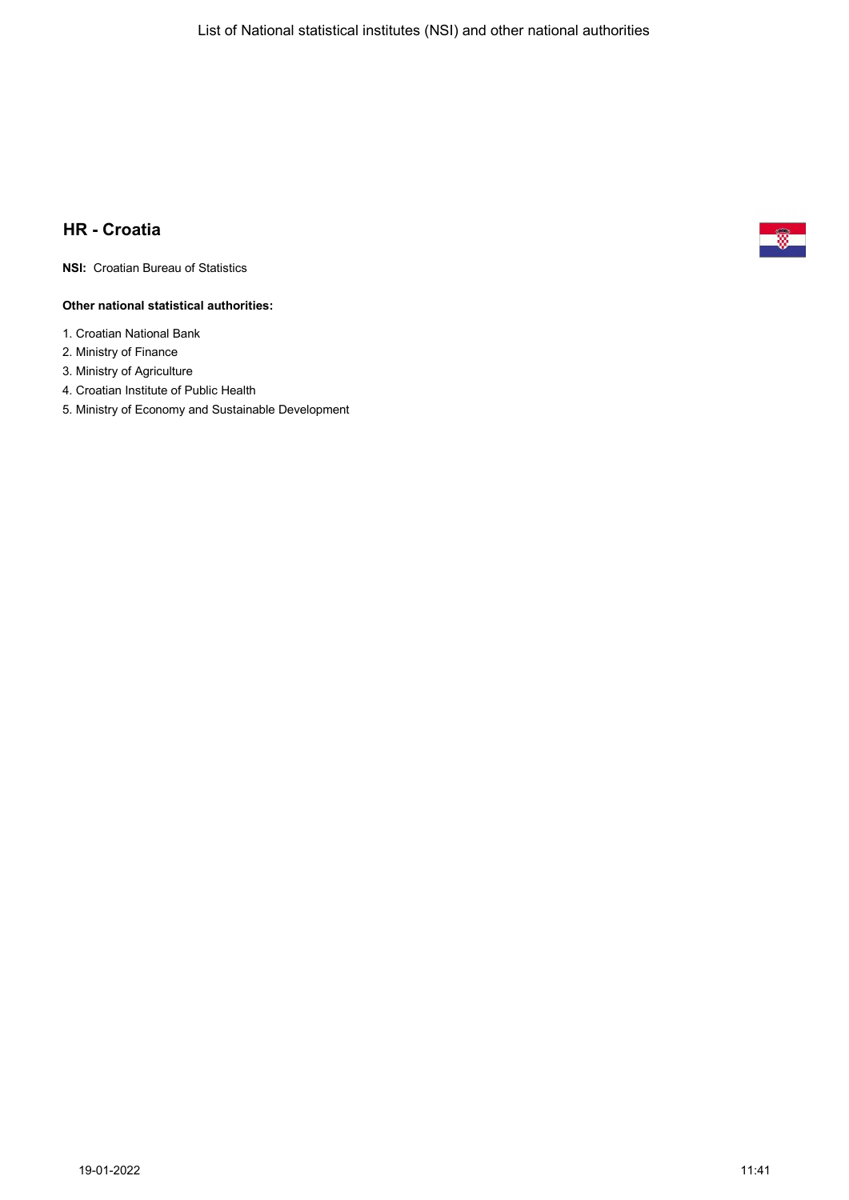# HR - Croatia

₩

NSI: Croatian Bureau of Statistics

- 1. Croatian National Bank
- 2. Ministry of Finance
- 3. Ministry of Agriculture
- 4. Croatian Institute of Public Health
- 5. Ministry of Economy and Sustainable Development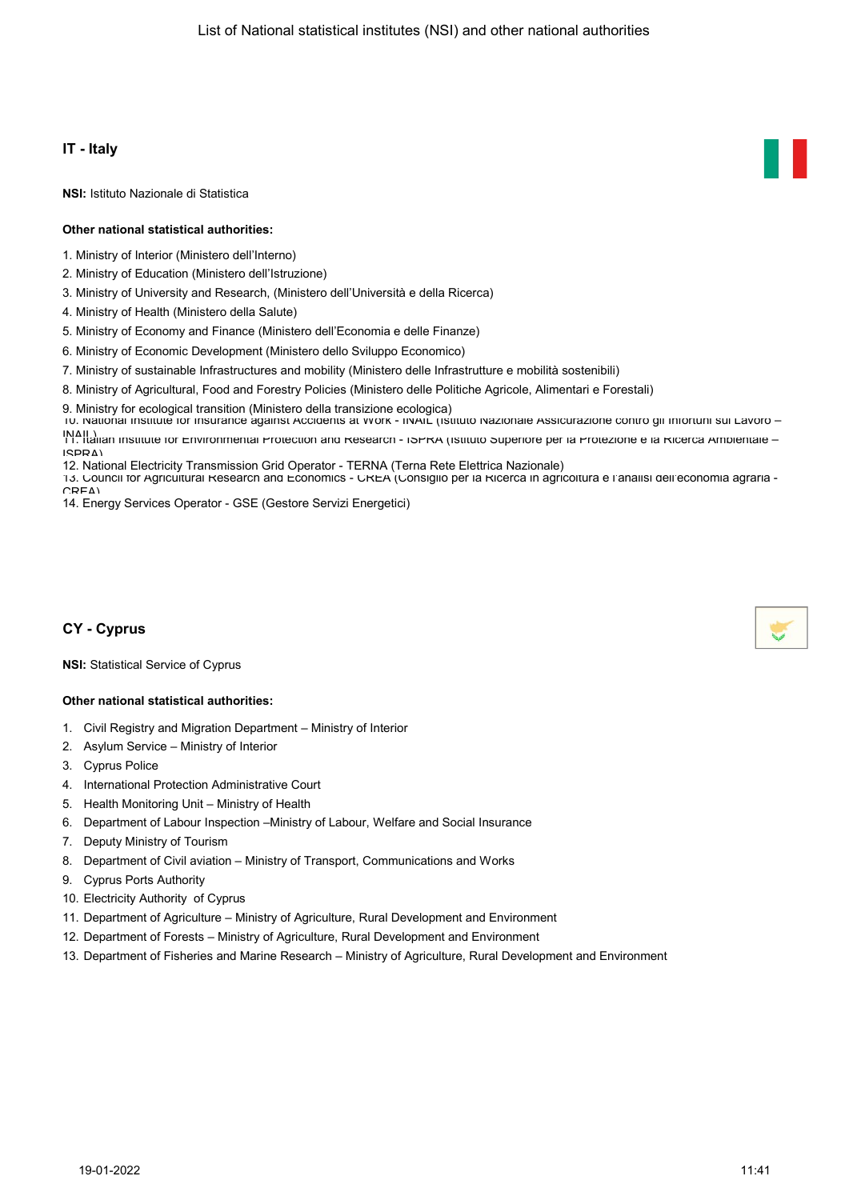## IT - Italy

NSI: Istituto Nazionale di Statistica

#### Other national statistical authorities:

- 1. Ministry of Interior (Ministero dell'Interno)
- 2. Ministry of Education (Ministero dell'Istruzione)
- 3. Ministry of University and Research, (Ministero dell'Università e della Ricerca)
- 4. Ministry of Health (Ministero della Salute)
- 5. Ministry of Economy and Finance (Ministero dell'Economia e delle Finanze)
- 6. Ministry of Economic Development (Ministero dello Sviluppo Economico)
- 7. Ministry of sustainable Infrastructures and mobility (Ministero delle Infrastrutture e mobilità sostenibili)
- 8. Ministry of Agricultural, Food and Forestry Policies (Ministero delle Politiche Agricole, Alimentari e Forestali)
- 9. Ministry for ecological transition (Ministero della transizione ecologica)

10. National Institute for Insurance against Accidents at Work - INAIL (Istituto Nazionale Assicurazione contro gli Infortuni sul Lavoro –

INAIL) 11. Italian Institute for Environmental Protection and Research - ISPRA (Istituto Superiore per la Protezione e la Ricerca Ambientale –  $ICDDA$ 

12. National Electricity Transmission Grid Operator - TERNA (Terna Rete Elettrica Nazionale)

13. Council for Agricultural Research and Economics - CREA (Consiglio per la Ricerca in agricoltura e l'analisi dell'economia agraria - CREA)

14. Energy Services Operator - GSE (Gestore Servizi Energetici)

## CY - Cyprus

NSI: Statistical Service of Cyprus

- 1. Civil Registry and Migration Department Ministry of Interior
- 2. Asylum Service Ministry of Interior
- 3. Cyprus Police
- 4. International Protection Administrative Court
- 5. Health Monitoring Unit Ministry of Health
- 6. Department of Labour Inspection –Ministry of Labour, Welfare and Social Insurance
- 7. Deputy Ministry of Tourism
- 8. Department of Civil aviation Ministry of Transport, Communications and Works
- 9. Cyprus Ports Authority
- 10. Electricity Authority of Cyprus
- 11. Department of Agriculture Ministry of Agriculture, Rural Development and Environment
- 12. Department of Forests Ministry of Agriculture, Rural Development and Environment
- 13. Department of Fisheries and Marine Research Ministry of Agriculture, Rural Development and Environment

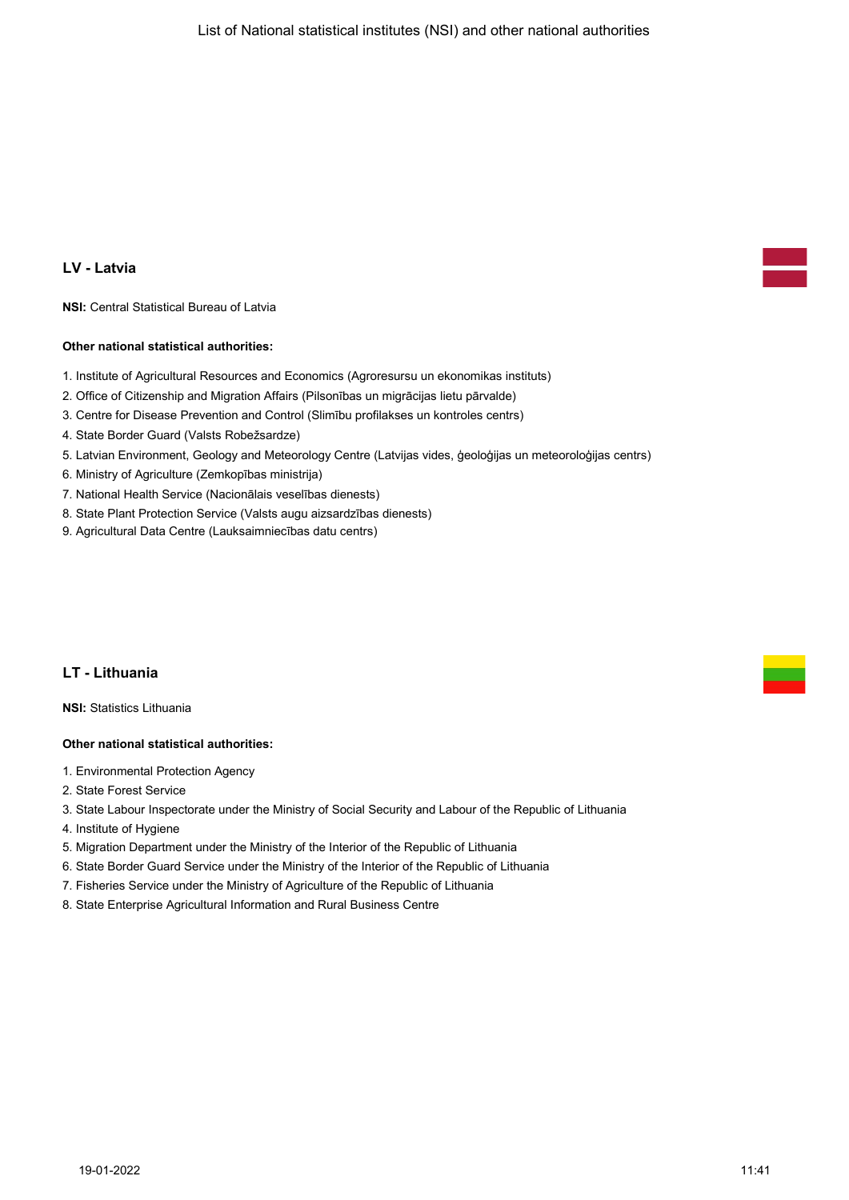## LV - Latvia

NSI: Central Statistical Bureau of Latvia

#### Other national statistical authorities:

- 1. Institute of Agricultural Resources and Economics (Agroresursu un ekonomikas instituts)
- 2. Office of Citizenship and Migration Affairs (Pilsonības un migrācijas lietu pārvalde)
- 3. Centre for Disease Prevention and Control (Slimību profilakses un kontroles centrs)
- 4. State Border Guard (Valsts Robežsardze)
- 5. Latvian Environment, Geology and Meteorology Centre (Latvijas vides, ģeoloģijas un meteoroloģijas centrs)
- 6. Ministry of Agriculture (Zemkopības ministrija)
- 7. National Health Service (Nacionālais veselības dienests)
- 8. State Plant Protection Service (Valsts augu aizsardzības dienests)
- 9. Agricultural Data Centre (Lauksaimniecības datu centrs)

## LT - Lithuania

NSI: Statistics Lithuania

- 1. Environmental Protection Agency
- 2. State Forest Service
- 3. State Labour Inspectorate under the Ministry of Social Security and Labour of the Republic of Lithuania
- 4. Institute of Hygiene
- 5. Migration Department under the Ministry of the Interior of the Republic of Lithuania
- 6. State Border Guard Service under the Ministry of the Interior of the Republic of Lithuania
- 7. Fisheries Service under the Ministry of Agriculture of the Republic of Lithuania
- 8. State Enterprise Agricultural Information and Rural Business Centre



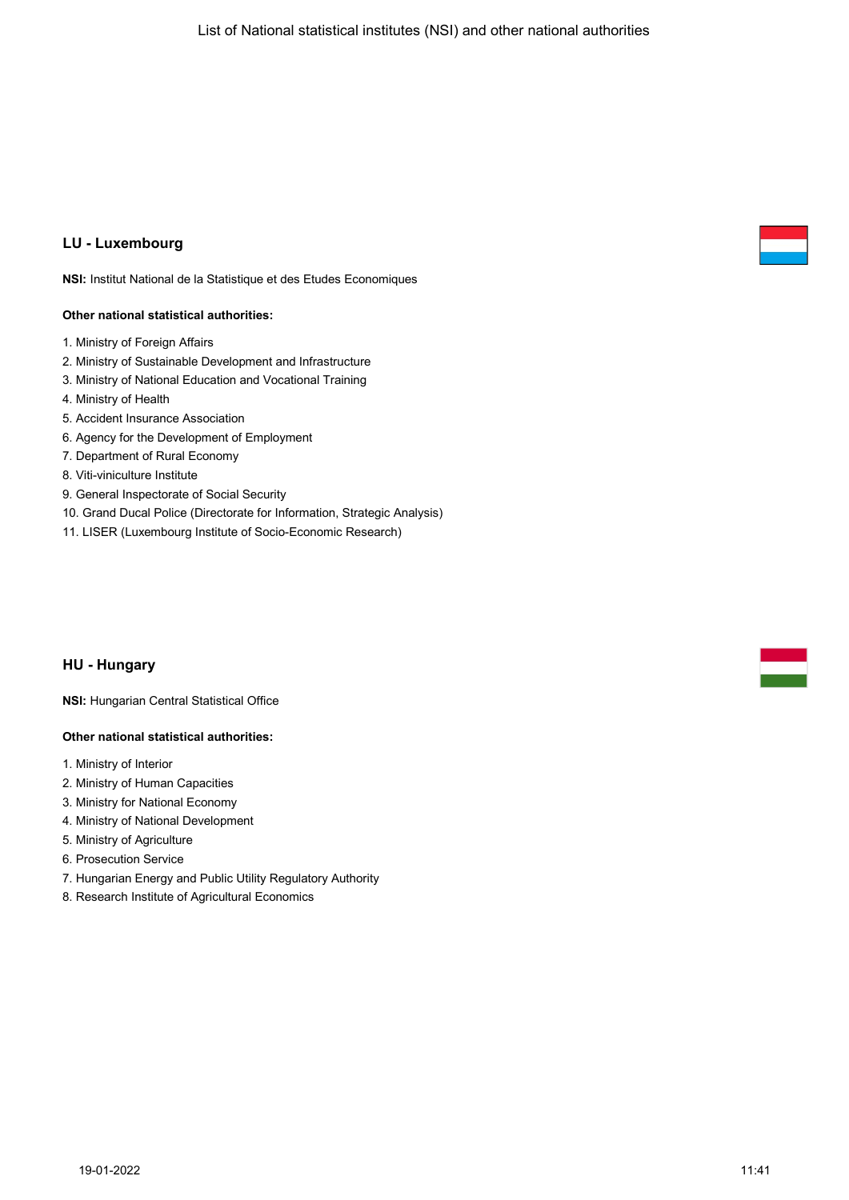## LU - Luxembourg

NSI: Institut National de la Statistique et des Etudes Economiques

#### Other national statistical authorities:

- 1. Ministry of Foreign Affairs
- 2. Ministry of Sustainable Development and Infrastructure
- 3. Ministry of National Education and Vocational Training
- 4. Ministry of Health
- 5. Accident Insurance Association
- 6. Agency for the Development of Employment
- 7. Department of Rural Economy
- 8. Viti-viniculture Institute
- 9. General Inspectorate of Social Security
- 10. Grand Ducal Police (Directorate for Information, Strategic Analysis)
- 11. LISER (Luxembourg Institute of Socio-Economic Research)

## HU - Hungary

# NSI: Hungarian Central Statistical Office

- 1. Ministry of Interior
- 2. Ministry of Human Capacities
- 3. Ministry for National Economy
- 4. Ministry of National Development
- 5. Ministry of Agriculture
- 6. Prosecution Service
- 7. Hungarian Energy and Public Utility Regulatory Authority
- 8. Research Institute of Agricultural Economics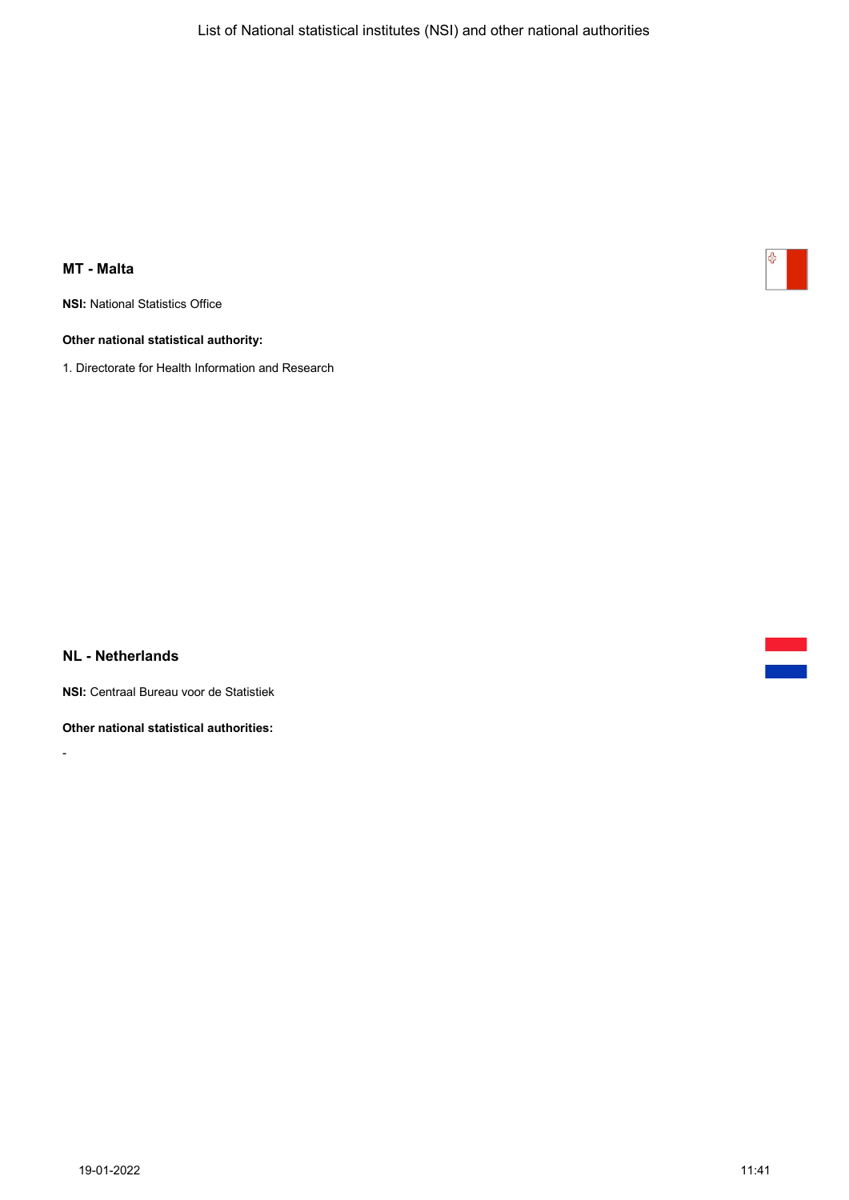## MT - Malta

NSI: National Statistics Office

## Other national statistical authority:

1. Directorate for Health Information and Research

#### NL - Netherlands

-

NSI: Centraal Bureau voor de Statistiek

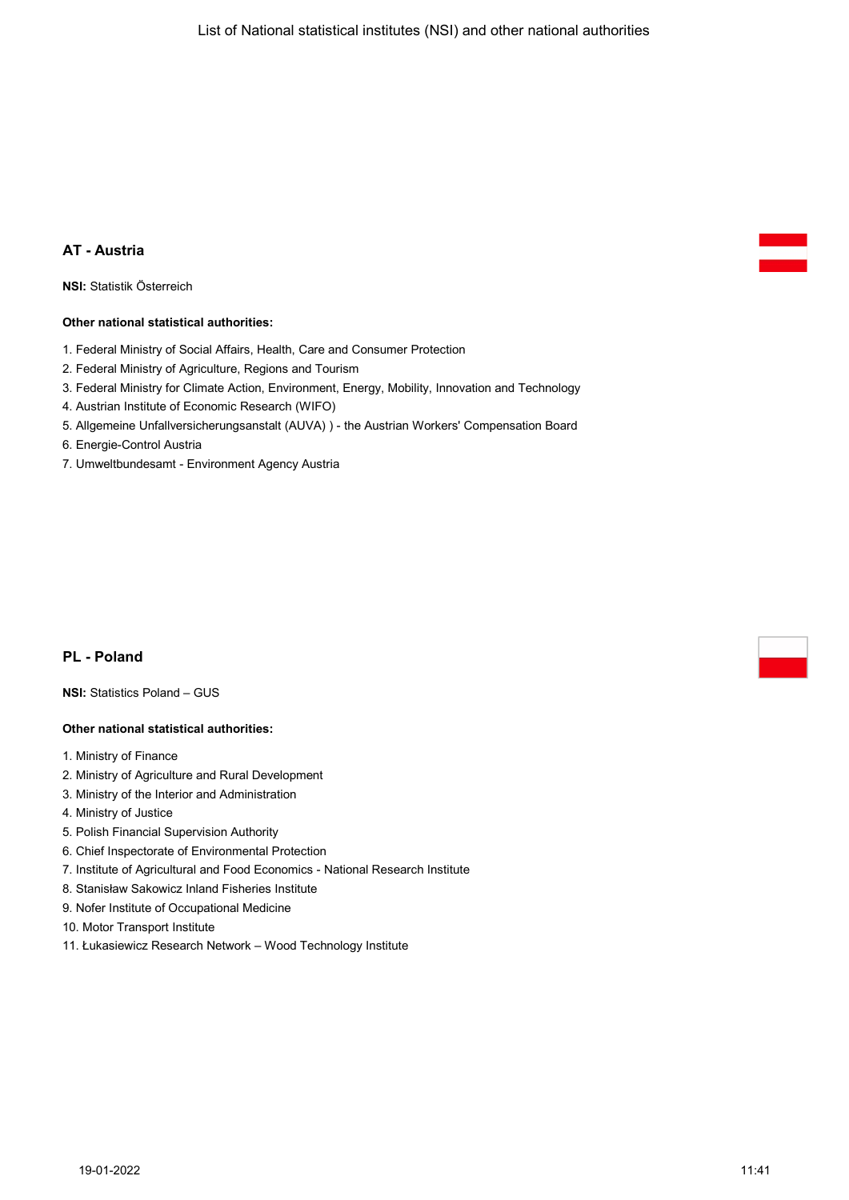## AT - Austria

NSI: Statistik Österreich

#### Other national statistical authorities:

- 1. Federal Ministry of Social Affairs, Health, Care and Consumer Protection
- 2. Federal Ministry of Agriculture, Regions and Tourism
- 3. Federal Ministry for Climate Action, Environment, Energy, Mobility, Innovation and Technology
- 4. Austrian Institute of Economic Research (WIFO)
- 5. Allgemeine Unfallversicherungsanstalt (AUVA) ) the Austrian Workers' Compensation Board
- 6. Energie-Control Austria
- 7. Umweltbundesamt Environment Agency Austria

## PL - Poland

NSI: Statistics Poland – GUS

- 1. Ministry of Finance
- 2. Ministry of Agriculture and Rural Development
- 3. Ministry of the Interior and Administration
- 4. Ministry of Justice
- 5. Polish Financial Supervision Authority
- 6. Chief Inspectorate of Environmental Protection
- 7. Institute of Agricultural and Food Economics National Research Institute
- 8. Stanisław Sakowicz Inland Fisheries Institute
- 9. Nofer Institute of Occupational Medicine
- 10. Motor Transport Institute
- 11. Łukasiewicz Research Network Wood Technology Institute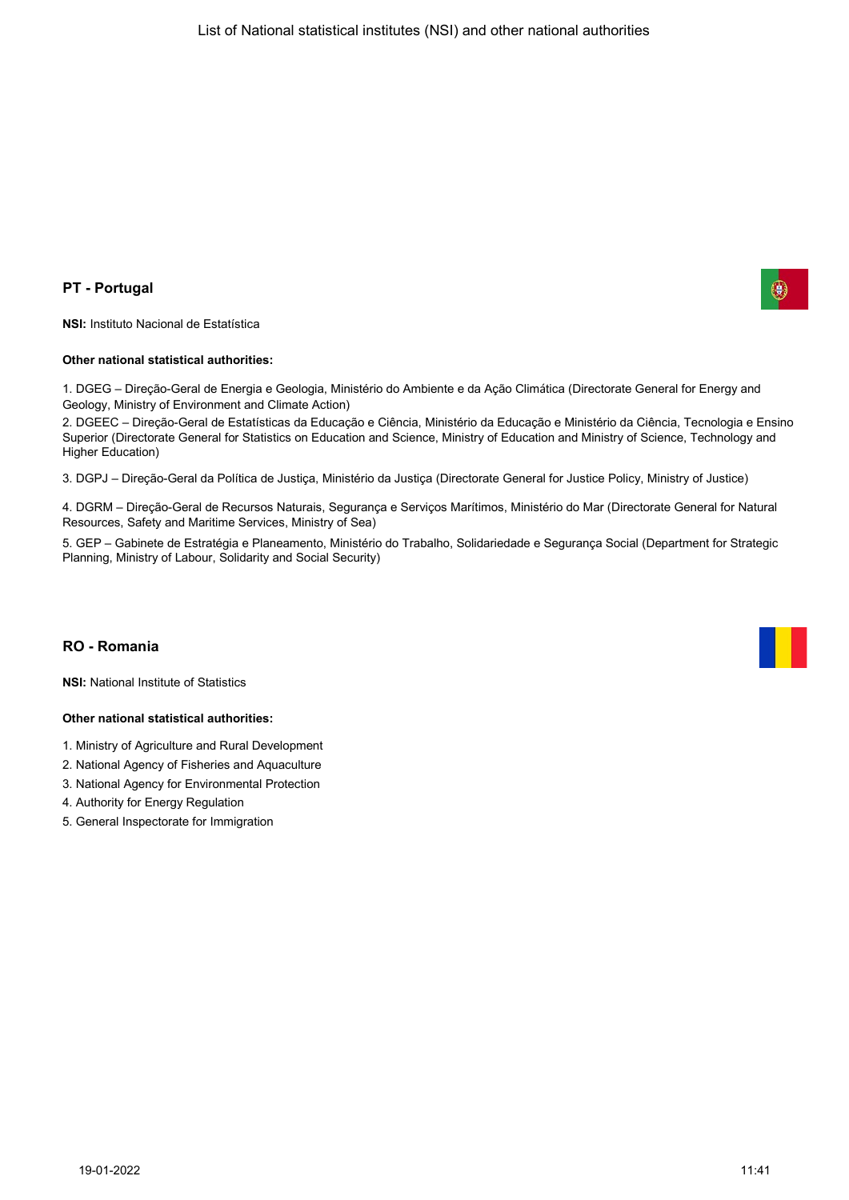## PT - Portugal

NSI: Instituto Nacional de Estatística

#### Other national statistical authorities:

1. DGEG – Direção-Geral de Energia e Geologia, Ministério do Ambiente e da Ação Climática (Directorate General for Energy and Geology, Ministry of Environment and Climate Action)

2. DGEEC – Direção-Geral de Estatísticas da Educação e Ciência, Ministério da Educação e Ministério da Ciência, Tecnologia e Ensino Superior (Directorate General for Statistics on Education and Science, Ministry of Education and Ministry of Science, Technology and Higher Education)

3. DGPJ – Direção-Geral da Política de Justiça, Ministério da Justiça (Directorate General for Justice Policy, Ministry of Justice)

4. DGRM – Direção-Geral de Recursos Naturais, Segurança e Serviços Marítimos, Ministério do Mar (Directorate General for Natural Resources, Safety and Maritime Services, Ministry of Sea)

5. GEP – Gabinete de Estratégia e Planeamento, Ministério do Trabalho, Solidariedade e Segurança Social (Department for Strategic Planning, Ministry of Labour, Solidarity and Social Security)

## RO - Romania

NSI: National Institute of Statistics

#### Other national statistical authorities:

- 1. Ministry of Agriculture and Rural Development
- 2. National Agency of Fisheries and Aquaculture
- 3. National Agency for Environmental Protection
- 4. Authority for Energy Regulation
- 5. General Inspectorate for Immigration



# $\bigcirc$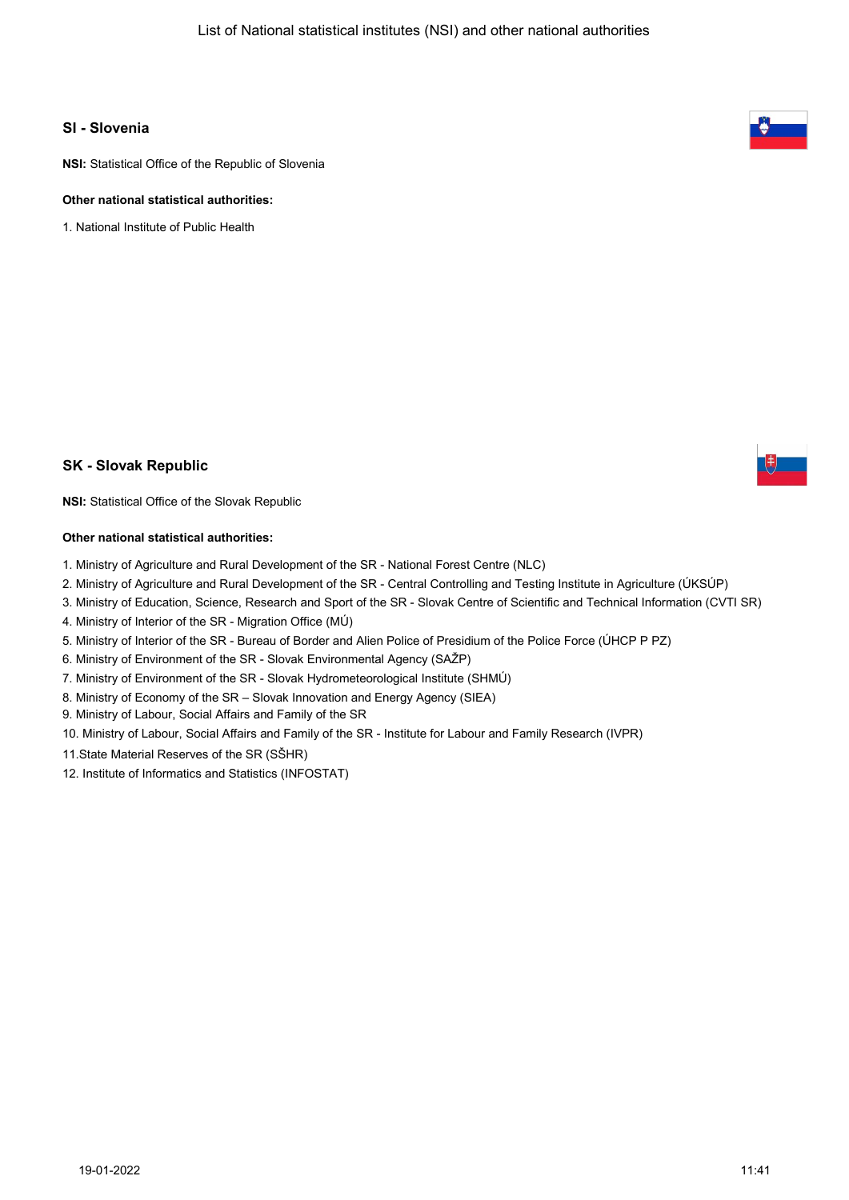## SI - Slovenia

NSI: Statistical Office of the Republic of Slovenia

#### Other national statistical authorities:

1. National Institute of Public Health

## SK - Slovak Republic

NSI: Statistical Office of the Slovak Republic

- 1. Ministry of Agriculture and Rural Development of the SR National Forest Centre (NLC)
- 2. Ministry of Agriculture and Rural Development of the SR Central Controlling and Testing Institute in Agriculture (ÚKSÚP)
- 3. Ministry of Education, Science, Research and Sport of the SR Slovak Centre of Scientific and Technical Information (CVTI SR)
- 4. Ministry of Interior of the SR Migration Office (MÚ)
- 5. Ministry of Interior of the SR Bureau of Border and Alien Police of Presidium of the Police Force (ÚHCP Ρ PZ)
- 6. Ministry of Environment of the SR Slovak Environmental Agency (SAŽP)
- 7. Ministry of Environment of the SR Slovak Hydrometeorological Institute (SHMÚ)
- 8. Ministry of Economy of the SR Slovak Innovation and Energy Agency (SIEA)
- 9. Ministry of Labour, Social Affairs and Family of the SR
- 10. Ministry of Labour, Social Affairs and Family of the SR Institute for Labour and Family Research (IVPR)
- 11.State Material Reserves of the SR (SŠHR)
- 12. Institute of Informatics and Statistics (INFOSTAT)



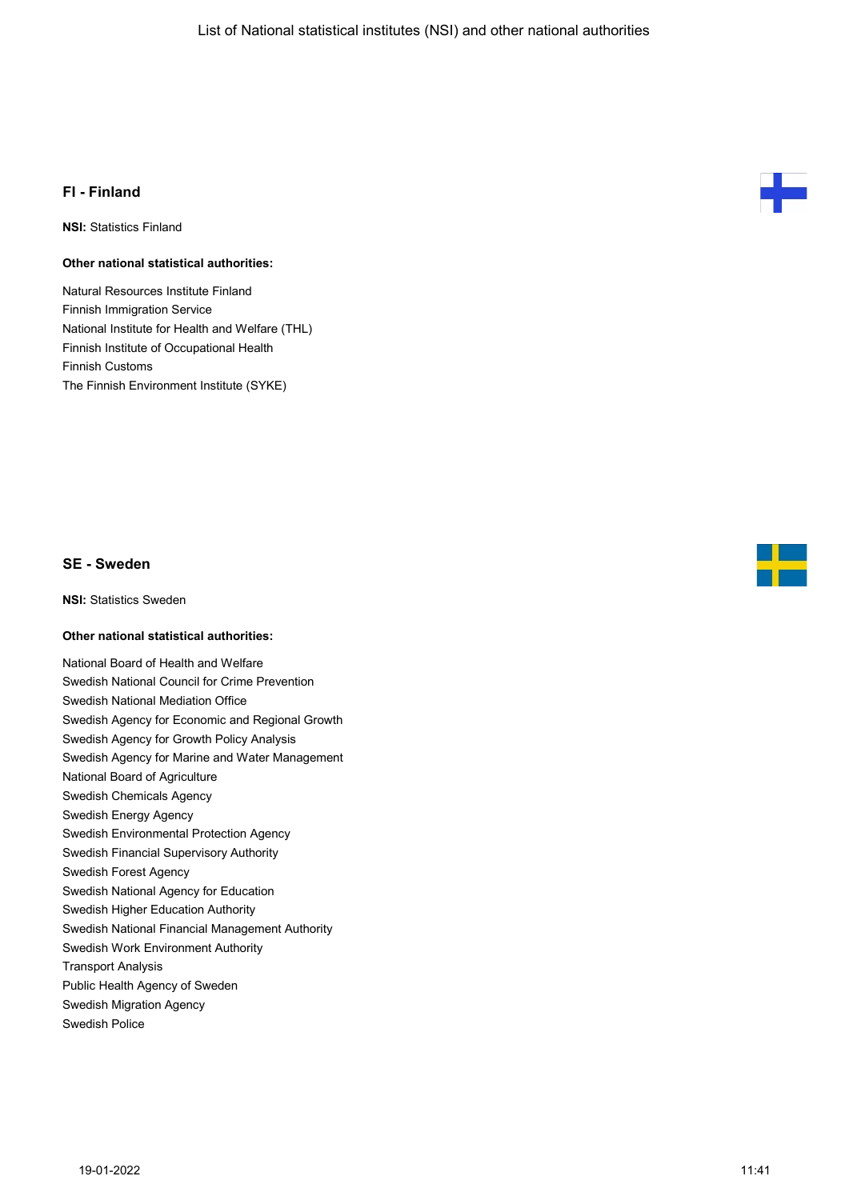## FI - Finland

NSI: Statistics Finland

#### Other national statistical authorities:

Natural Resources Institute Finland Finnish Immigration Service National Institute for Health and Welfare (THL) Finnish Institute of Occupational Health Finnish Customs The Finnish Environment Institute (SYKE)

### SE - Sweden

NSI: Statistics Sweden

#### Other national statistical authorities:

National Board of Health and Welfare Swedish National Council for Crime Prevention Swedish National Mediation Office Swedish Agency for Economic and Regional Growth Swedish Agency for Growth Policy Analysis Swedish Agency for Marine and Water Management National Board of Agriculture Swedish Chemicals Agency Swedish Energy Agency Swedish Environmental Protection Agency Swedish Financial Supervisory Authority Swedish Forest Agency Swedish National Agency for Education Swedish Higher Education Authority Swedish National Financial Management Authority Swedish Work Environment Authority Transport Analysis Public Health Agency of Sweden Swedish Migration Agency Swedish Police